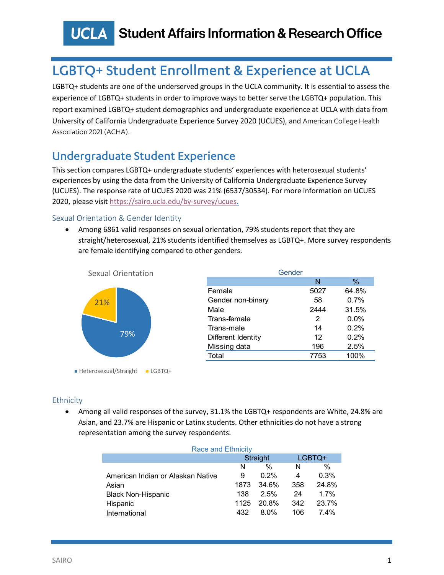

# LGBTQ+ Student Enrollment & Experience at UCLA

LGBTQ+ students are one of the underserved groups in the UCLA community. It is essential to assess the experience of LGBTQ+ students in order to improve ways to better serve the LGBTQ+ population. This report examined LGBTQ+ student demographics and undergraduate experience at UCLA with data from University of California Undergraduate Experience Survey 2020 (UCUES), and American College Health Association 2021 (ACHA).

## Undergraduate Student Experience

This section compares LGBTQ+ undergraduate students' experiences with heterosexual students' experiences by using the data from the University of California Undergraduate Experience Survey (UCUES). The response rate of UCUES 2020 was 21% (6537/30534). For more information on UCUES 2020, please visit [https://sairo.ucla.edu/by-survey/ucues.](https://sairo.ucla.edu/by-survey/ucues)

### Sexual Orientation & Gender Identity

• Among 6861 valid responses on sexual orientation, 79% students report that they are straight/heterosexual, 21% students identified themselves as LGBTQ+. More survey respondents are female identifying compared to other genders.



| Gender             |      |         |
|--------------------|------|---------|
|                    | N    | $\%$    |
| Female             | 5027 | 64.8%   |
| Gender non-binary  | 58   | 0.7%    |
| Male               | 2444 | 31.5%   |
| Trans-female       | 2    | $0.0\%$ |
| Trans-male         | 14   | 0.2%    |
| Different Identity | 12   | 0.2%    |
| Missing data       | 196  | 2.5%    |
| Total              | 7753 | 100%    |

## **Ethnicity**

• Among all valid responses of the survey, 31.1% the LGBTQ+ respondents are White, 24.8% are Asian, and 23.7% are Hispanic or Latinx students. Other ethnicities do not have a strong representation among the survey respondents.

| <b>Race and Ethnicity</b>         |      |                  |        |         |  |  |  |
|-----------------------------------|------|------------------|--------|---------|--|--|--|
|                                   |      | Straight         | LGBTQ+ |         |  |  |  |
|                                   | N    | %                | N      | $\%$    |  |  |  |
| American Indian or Alaskan Native | 9    | $0.2\%$          | 4      | 0.3%    |  |  |  |
| Asian                             | 1873 | 34.6%            | 358    | 24.8%   |  |  |  |
| <b>Black Non-Hispanic</b>         | 138  | 2.5%             | 24     | $1.7\%$ |  |  |  |
| Hispanic                          | 1125 | 20.8%            | 342    | 23.7%   |  |  |  |
| International                     | 432  | 8 0 <sup>%</sup> | 106    | 7.4%    |  |  |  |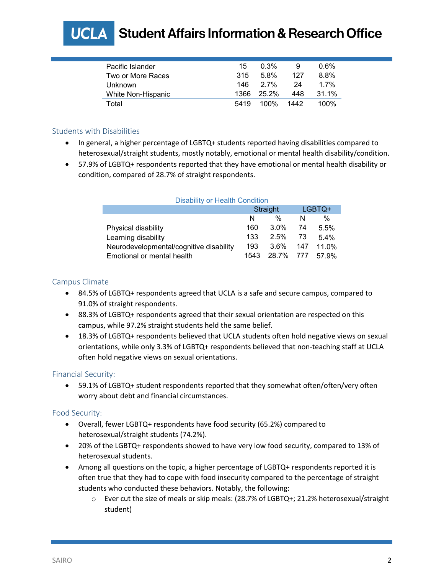# **Student Affairs Information & Research Office**

| Pacific Islander   | 15   | 0.3%     |      | $0.6\%$  |
|--------------------|------|----------|------|----------|
| Two or More Races  | 315  | 5.8%     | 127  | 8.8%     |
| Unknown            | 146  | 2.7%     | 24   | 1 7%     |
| White Non-Hispanic | 1366 | $25.2\%$ | 448  | $31.1\%$ |
| Total              | 5419 | 100%     | 1442 | 100%     |

### Students with Disabilities

- In general, a higher percentage of LGBTQ+ students reported having disabilities compared to heterosexual/straight students, mostly notably, emotional or mental health disability/condition.
- 57.9% of LGBTQ+ respondents reported that they have emotional or mental health disability or condition, compared of 28.7% of straight respondents.

| <b>Disability or Health Condition</b>   |      |                 |        |       |  |  |
|-----------------------------------------|------|-----------------|--------|-------|--|--|
|                                         |      | Straight        | LGBTQ+ |       |  |  |
|                                         | N    | %               | N      | %     |  |  |
| Physical disability                     | 160. | $3.0\%$         | 74     | 5.5%  |  |  |
| Learning disability                     | 133  | 2.5%            | -73    | 54%   |  |  |
| Neurodevelopmental/cognitive disability | 193  | $3.6\%$         | 147    | 11.0% |  |  |
| Emotional or mental health              | 1543 | 28.7% 777 57.9% |        |       |  |  |

### Campus Climate

- 84.5% of LGBTQ+ respondents agreed that UCLA is a safe and secure campus, compared to 91.0% of straight respondents.
- 88.3% of LGBTQ+ respondents agreed that their sexual orientation are respected on this campus, while 97.2% straight students held the same belief.
- 18.3% of LGBTQ+ respondents believed that UCLA students often hold negative views on sexual orientations, while only 3.3% of LGBTQ+ respondents believed that non-teaching staff at UCLA often hold negative views on sexual orientations.

#### Financial Security:

• 59.1% of LGBTQ+ student respondents reported that they somewhat often/often/very often worry about debt and financial circumstances.

#### Food Security:

- Overall, fewer LGBTQ+ respondents have food security (65.2%) compared to heterosexual/straight students (74.2%).
- 20% of the LGBTQ+ respondents showed to have very low food security, compared to 13% of heterosexual students.
- Among all questions on the topic, a higher percentage of LGBTQ+ respondents reported it is often true that they had to cope with food insecurity compared to the percentage of straight students who conducted these behaviors. Notably, the following:
	- o Ever cut the size of meals or skip meals: (28.7% of LGBTQ+; 21.2% heterosexual/straight student)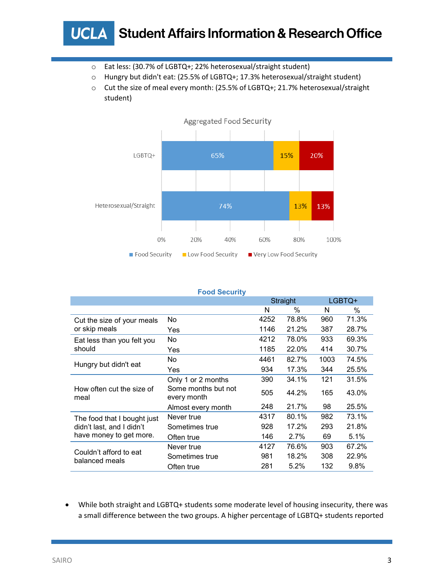## Student Affairs Information & Research Office **UCLA**

- o Eat less: (30.7% of LGBTQ+; 22% heterosexual/straight student)
- o Hungry but didn't eat: (25.5% of LGBTQ+; 17.3% heterosexual/straight student)
- o Cut the size of meal every month: (25.5% of LGBTQ+; 21.7% heterosexual/straight student)



#### **Food Security**

|                                                      |                                    |      | Straight |      | LGBTQ+ |
|------------------------------------------------------|------------------------------------|------|----------|------|--------|
|                                                      |                                    | N    | $\%$     | N    | %      |
| Cut the size of your meals                           | No.                                | 4252 | 78.8%    | 960  | 71.3%  |
| or skip meals                                        | Yes                                | 1146 | 21.2%    | 387  | 28.7%  |
| Eat less than you felt you                           | No.                                | 4212 | 78.0%    | 933  | 69.3%  |
| should                                               | Yes                                | 1185 | 22.0%    | 414  | 30.7%  |
|                                                      | No.                                | 4461 | 82.7%    | 1003 | 74.5%  |
| Hungry but didn't eat                                | Yes                                | 934  | 17.3%    | 344  | 25.5%  |
|                                                      | Only 1 or 2 months                 | 390  | 34.1%    | 121  | 31.5%  |
| How often cut the size of<br>meal                    | Some months but not<br>every month | 505  | 44.2%    | 165  | 43.0%  |
|                                                      | Almost every month                 | 248  | 21.7%    | 98   | 25.5%  |
| The food that I bought just                          | Never true                         | 4317 | 80.1%    | 982  | 73.1%  |
| didn't last, and I didn't<br>have money to get more. | Sometimes true                     | 928  | 17.2%    | 293  | 21.8%  |
|                                                      | Often true                         | 146  | 2.7%     | 69   | 5.1%   |
|                                                      | Never true                         | 4127 | 76.6%    | 903  | 67.2%  |
| Couldn't afford to eat<br>balanced meals             | Sometimes true                     | 981  | 18.2%    | 308  | 22.9%  |
|                                                      | Often true                         | 281  | 5.2%     | 132  | 9.8%   |

• While both straight and LGBTQ+ students some moderate level of housing insecurity, there was a small difference between the two groups. A higher percentage of LGBTQ+ students reported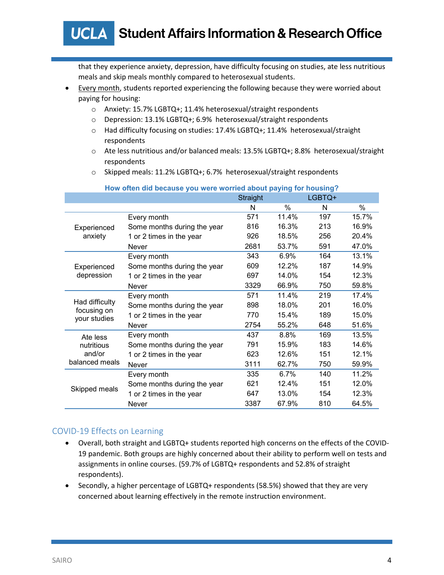that they experience anxiety, depression, have difficulty focusing on studies, ate less nutritious meals and skip meals monthly compared to heterosexual students.

- Every month, students reported experiencing the following because they were worried about paying for housing:
	- o Anxiety: 15.7% LGBTQ+; 11.4% heterosexual/straight respondents
	- o Depression: 13.1% LGBTQ+; 6.9% heterosexual/straight respondents
	- o Had difficulty focusing on studies: 17.4% LGBTQ+; 11.4% heterosexual/straight respondents
	- o Ate less nutritious and/or balanced meals: 13.5% LGBTQ+; 8.8% heterosexual/straight respondents
	- o Skipped meals: 11.2% LGBTQ+; 6.7% heterosexual/straight respondents

|                             |                             | Straight | LGBTQ+ |     |       |
|-----------------------------|-----------------------------|----------|--------|-----|-------|
|                             |                             | N        | %      | N   | $\%$  |
|                             | Every month                 | 571      | 11.4%  | 197 | 15.7% |
| Experienced                 | Some months during the year | 816      | 16.3%  | 213 | 16.9% |
| anxiety                     | 1 or 2 times in the year    | 926      | 18.5%  | 256 | 20.4% |
|                             | Never                       | 2681     | 53.7%  | 591 | 47.0% |
|                             | Every month                 | 343      | 6.9%   | 164 | 13.1% |
| Experienced                 | Some months during the year | 609      | 12.2%  | 187 | 14.9% |
| depression                  | 1 or 2 times in the year    | 697      | 14.0%  | 154 | 12.3% |
|                             | Never                       | 3329     | 66.9%  | 750 | 59.8% |
|                             | Every month                 | 571      | 11.4%  | 219 | 17.4% |
| Had difficulty              | Some months during the year | 898      | 18.0%  | 201 | 16.0% |
| focusing on<br>your studies | 1 or 2 times in the year    | 770      | 15.4%  | 189 | 15.0% |
|                             | Never                       | 2754     | 55.2%  | 648 | 51.6% |
| Ate less                    | Every month                 | 437      | 8.8%   | 169 | 13.5% |
| nutritious                  | Some months during the year | 791      | 15.9%  | 183 | 14.6% |
| and/or                      | 1 or 2 times in the year    | 623      | 12.6%  | 151 | 12.1% |
| balanced meals              | Never                       | 3111     | 62.7%  | 750 | 59.9% |
|                             | Every month                 | 335      | 6.7%   | 140 | 11.2% |
|                             | Some months during the year | 621      | 12.4%  | 151 | 12.0% |
| Skipped meals               | 1 or 2 times in the year    | 647      | 13.0%  | 154 | 12.3% |
|                             | Never                       | 3387     | 67.9%  | 810 | 64.5% |

#### **How often did because you were worried about paying for housing?**

## COVID-19 Effects on Learning

- Overall, both straight and LGBTQ+ students reported high concerns on the effects of the COVID-19 pandemic. Both groups are highly concerned about their ability to perform well on tests and assignments in online courses. (59.7% of LGBTQ+ respondents and 52.8% of straight respondents).
- Secondly, a higher percentage of LGBTQ+ respondents (58.5%) showed that they are very concerned about learning effectively in the remote instruction environment.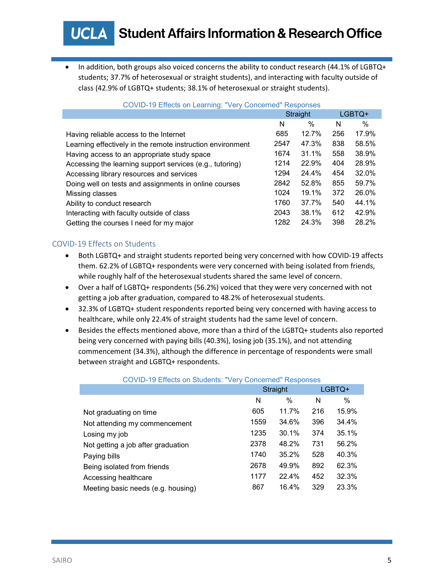**Student Affairs Information & Research Office UCLA** 

• In addition, both groups also voiced concerns the ability to conduct research (44.1% of LGBTQ+ students; 37.7% of heterosexual or straight students), and interacting with faculty outside of class (42.9% of LGBTQ+ students; 38.1% of heterosexual or straight students).

| <b>COVID-19 Effects on Learning: "Very Concerned" Responses</b> |      |          |        |       |  |  |
|-----------------------------------------------------------------|------|----------|--------|-------|--|--|
|                                                                 |      | Straight | LGBTQ+ |       |  |  |
|                                                                 | N    | $\%$     | N      | $\%$  |  |  |
| Having reliable access to the Internet                          | 685  | 12.7%    | 256    | 17.9% |  |  |
| Learning effectively in the remote instruction environment      | 2547 | 47.3%    | 838    | 58.5% |  |  |
| Having access to an appropriate study space                     | 1674 | 31.1%    | 558    | 38.9% |  |  |
| Accessing the learning support services (e.g., tutoring)        | 1214 | 22.9%    | 404    | 28.9% |  |  |
| Accessing library resources and services                        | 1294 | 24.4%    | 454    | 32.0% |  |  |
| Doing well on tests and assignments in online courses           | 2842 | 52.8%    | 855    | 59.7% |  |  |
| Missing classes                                                 | 1024 | 19.1%    | 372    | 26.0% |  |  |
| Ability to conduct research                                     | 1760 | 37.7%    | 540    | 44.1% |  |  |
| Interacting with faculty outside of class                       | 2043 | 38.1%    | 612    | 42.9% |  |  |
| Getting the courses I need for my major                         | 1282 | 24.3%    | 398    | 28.2% |  |  |

## COVID-19 Effects on Students

- Both LGBTQ+ and straight students reported being very concerned with how COVID-19 affects them. 62.2% of LGBTQ+ respondents were very concerned with being isolated from friends, while roughly half of the heterosexual students shared the same level of concern.
- Over a half of LGBTQ+ respondents (56.2%) voiced that they were very concerned with not getting a job after graduation, compared to 48.2% of heterosexual students.
- 32.3% of LGBTQ+ student respondents reported being very concerned with having access to healthcare, while only 22.4% of straight students had the same level of concern.
- Besides the effects mentioned above, more than a third of the LGBTQ+ students also reported being very concerned with paying bills (40.3%), losing job (35.1%), and not attending commencement (34.3%), although the difference in percentage of respondents were small between straight and LGBTQ+ respondents.

|                                    | <u>oo waa waxaa dhistaashto. wary oontoonnoo waapontooo</u> |          |     |        |  |
|------------------------------------|-------------------------------------------------------------|----------|-----|--------|--|
|                                    |                                                             | Straight |     | LGBTQ+ |  |
|                                    | N                                                           | $\%$     | N   | $\%$   |  |
| Not graduating on time             | 605                                                         | 11.7%    | 216 | 15.9%  |  |
| Not attending my commencement      | 1559                                                        | 34.6%    | 396 | 34.4%  |  |
| Losing my job                      | 1235                                                        | 30.1%    | 374 | 35.1%  |  |
| Not getting a job after graduation | 2378                                                        | 48.2%    | 731 | 56.2%  |  |
| Paying bills                       | 1740                                                        | 35.2%    | 528 | 40.3%  |  |
| Being isolated from friends        | 2678                                                        | 49.9%    | 892 | 62.3%  |  |
| Accessing healthcare               | 1177                                                        | 22.4%    | 452 | 32.3%  |  |
| Meeting basic needs (e.g. housing) | 867                                                         | 16.4%    | 329 | 23.3%  |  |

#### COVID-19 Effects on Students: "Very Concerned" Responses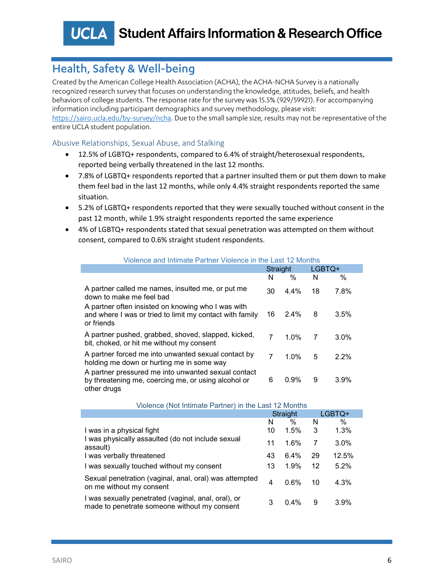**UCLA** 

## Health, Safety & Well-being

Created by the American College Health Association (ACHA), the ACHA-NCHA Survey is a nationally recognized research survey that focuses on understanding the knowledge, attitudes, beliefs, and health behaviors of college students. The response rate for the survey was 15.5% (929/59921). For accompanying information including participant demographics and survey methodology, please visit: [https://sairo.ucla.edu/by-survey/ncha.](https://sairo.ucla.edu/by-survey/ncha) Due to the small sample size, results may not be representative of the entire UCLA student population.

## Abusive Relationships, Sexual Abuse, and Stalking

- 12.5% of LGBTQ+ respondents, compared to 6.4% of straight/heterosexual respondents, reported being verbally threatened in the last 12 months.
- 7.8% of LGBTQ+ respondents reported that a partner insulted them or put them down to make them feel bad in the last 12 months, while only 4.4% straight respondents reported the same situation.
- 5.2% of LGBTQ+ respondents reported that they were sexually touched without consent in the past 12 month, while 1.9% straight respondents reported the same experience
- 4% of LGBTQ+ respondents stated that sexual penetration was attempted on them without consent, compared to 0.6% straight student respondents.

|                                                                                                                              | Straight |         | LGBTQ+ |         |  |
|------------------------------------------------------------------------------------------------------------------------------|----------|---------|--------|---------|--|
|                                                                                                                              | N        | %       | N      | %       |  |
| A partner called me names, insulted me, or put me<br>down to make me feel bad                                                | 30       | $4.4\%$ | 18     | 7.8%    |  |
| A partner often insisted on knowing who I was with<br>and where I was or tried to limit my contact with family<br>or friends | 16       | $2.4\%$ | 8      | 3.5%    |  |
| A partner pushed, grabbed, shoved, slapped, kicked,<br>bit, choked, or hit me without my consent                             | 7        | 1.0%    | 7      | $3.0\%$ |  |
| A partner forced me into unwanted sexual contact by<br>holding me down or hurting me in some way                             | 7        | $1.0\%$ | 5      | $2.2\%$ |  |
| A partner pressured me into unwanted sexual contact<br>by threatening me, coercing me, or using alcohol or<br>other drugs    | 6        | $0.9\%$ | 9      | 3.9%    |  |

#### Violence and Intimate Partner Violence in the Last 12 Months

| Violence (Not Intimate Partner) in the Last 12 Months                                               |         |           |        |              |  |  |
|-----------------------------------------------------------------------------------------------------|---------|-----------|--------|--------------|--|--|
|                                                                                                     |         | Straight  |        | LGBTQ+       |  |  |
| I was in a physical fight                                                                           | N<br>10 | %<br>1.5% | N<br>3 | $\%$<br>1.3% |  |  |
| I was physically assaulted (do not include sexual<br>assault)                                       | 11      | 1.6%      | 7      | $3.0\%$      |  |  |
| I was verbally threatened                                                                           | 43      | $6.4\%$   | 29     | 12.5%        |  |  |
| I was sexually touched without my consent                                                           | 13      | 1.9%      | 12     | 5.2%         |  |  |
| Sexual penetration (vaginal, anal, oral) was attempted<br>on me without my consent                  | 4       | 0.6%      | 10     | 4.3%         |  |  |
| I was sexually penetrated (vaginal, anal, oral), or<br>made to penetrate someone without my consent | 3       | $0.4\%$   | 9      | 3.9%         |  |  |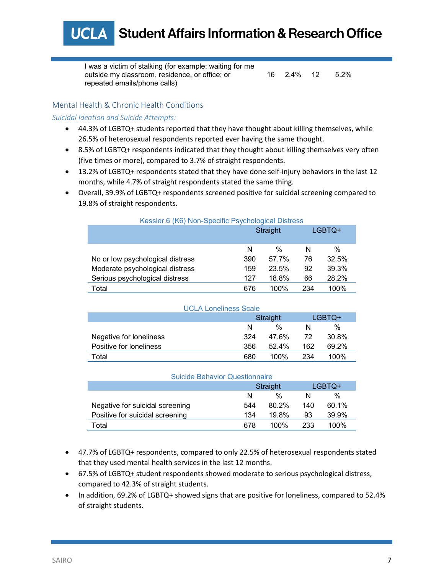

I was a victim of stalking (for example: waiting for me outside my classroom, residence, or office; or repeated emails/phone calls)

#### 16 2.4% 12 5.2%

## Mental Health & Chronic Health Conditions

### *Suicidal Ideation and Suicide Attempts:*

- 44.3% of LGBTQ+ students reported that they have thought about killing themselves, while 26.5% of heterosexual respondents reported ever having the same thought.
- 8.5% of LGBTQ+ respondents indicated that they thought about killing themselves very often (five times or more), compared to 3.7% of straight respondents.
- 13.2% of LGBTQ+ respondents stated that they have done self-injury behaviors in the last 12 months, while 4.7% of straight respondents stated the same thing.
- Overall, 39.9% of LGBTQ+ respondents screened positive for suicidal screening compared to 19.8% of straight respondents.

|                                  |     | Straight | LGBTQ+ |       |  |
|----------------------------------|-----|----------|--------|-------|--|
|                                  | N   | %        | N      | $\%$  |  |
| No or low psychological distress | 390 | 57.7%    | 76     | 32.5% |  |
| Moderate psychological distress  | 159 | 23.5%    | 92     | 39.3% |  |
| Serious psychological distress   | 127 | 18.8%    | 66     | 28.2% |  |
| Total                            | 676 | 100%     | 234    | 100%  |  |

#### Kessler 6 (K6) Non-Specific Psychological Distress

#### UCLA Loneliness Scale

|                         |           | Straight | LGBTQ+ |         |  |
|-------------------------|-----------|----------|--------|---------|--|
|                         | $\%$<br>N |          | N      | $\%$    |  |
| Negative for loneliness | 324       | 47.6%    | 72     | 30.8%   |  |
| Positive for loneliness | 356       | $52.4\%$ | 162    | 69.2%   |  |
| Total                   | 680       | 100%     | 234    | $100\%$ |  |

#### Suicide Behavior Questionnaire

|                                 | Straight |       | LGBTQ+ |          |
|---------------------------------|----------|-------|--------|----------|
|                                 | N        | %     | N      | %        |
| Negative for suicidal screening | 544      | 80.2% | 140    | $60.1\%$ |
| Positive for suicidal screening | 134      | 19.8% | 93     | 39.9%    |
| Total                           | 678      | 100%  | 233    | 100%     |

- 47.7% of LGBTQ+ respondents, compared to only 22.5% of heterosexual respondents stated that they used mental health services in the last 12 months.
- 67.5% of LGBTQ+ student respondents showed moderate to serious psychological distress, compared to 42.3% of straight students.
- In addition, 69.2% of LGBTQ+ showed signs that are positive for loneliness, compared to 52.4% of straight students.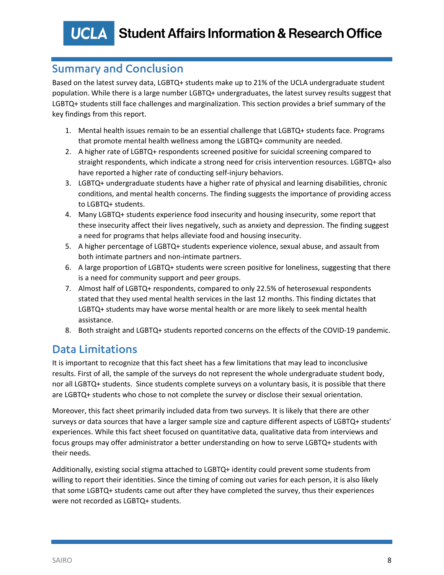## Summary and Conclusion

Based on the latest survey data, LGBTQ+ students make up to 21% of the UCLA undergraduate student population. While there is a large number LGBTQ+ undergraduates, the latest survey results suggest that LGBTQ+ students still face challenges and marginalization. This section provides a brief summary of the key findings from this report.

- 1. Mental health issues remain to be an essential challenge that LGBTQ+ students face. Programs that promote mental health wellness among the LGBTQ+ community are needed.
- 2. A higher rate of LGBTQ+ respondents screened positive for suicidal screening compared to straight respondents, which indicate a strong need for crisis intervention resources. LGBTQ+ also have reported a higher rate of conducting self-injury behaviors.
- 3. LGBTQ+ undergraduate students have a higher rate of physical and learning disabilities, chronic conditions, and mental health concerns. The finding suggests the importance of providing access to LGBTQ+ students.
- 4. Many LGBTQ+ students experience food insecurity and housing insecurity, some report that these insecurity affect their lives negatively, such as anxiety and depression. The finding suggest a need for programs that helps alleviate food and housing insecurity.
- 5. A higher percentage of LGBTQ+ students experience violence, sexual abuse, and assault from both intimate partners and non-intimate partners.
- 6. A large proportion of LGBTQ+ students were screen positive for loneliness, suggesting that there is a need for community support and peer groups.
- 7. Almost half of LGBTQ+ respondents, compared to only 22.5% of heterosexual respondents stated that they used mental health services in the last 12 months. This finding dictates that LGBTQ+ students may have worse mental health or are more likely to seek mental health assistance.
- 8. Both straight and LGBTQ+ students reported concerns on the effects of the COVID-19 pandemic.

## Data Limitations

It is important to recognize that this fact sheet has a few limitations that may lead to inconclusive results. First of all, the sample of the surveys do not represent the whole undergraduate student body, nor all LGBTQ+ students. Since students complete surveys on a voluntary basis, it is possible that there are LGBTQ+ students who chose to not complete the survey or disclose their sexual orientation.

Moreover, this fact sheet primarily included data from two surveys. It is likely that there are other surveys or data sources that have a larger sample size and capture different aspects of LGBTQ+ students' experiences. While this fact sheet focused on quantitative data, qualitative data from interviews and focus groups may offer administrator a better understanding on how to serve LGBTQ+ students with their needs.

Additionally, existing social stigma attached to LGBTQ+ identity could prevent some students from willing to report their identities. Since the timing of coming out varies for each person, it is also likely that some LGBTQ+ students came out after they have completed the survey, thus their experiences were not recorded as LGBTQ+ students.